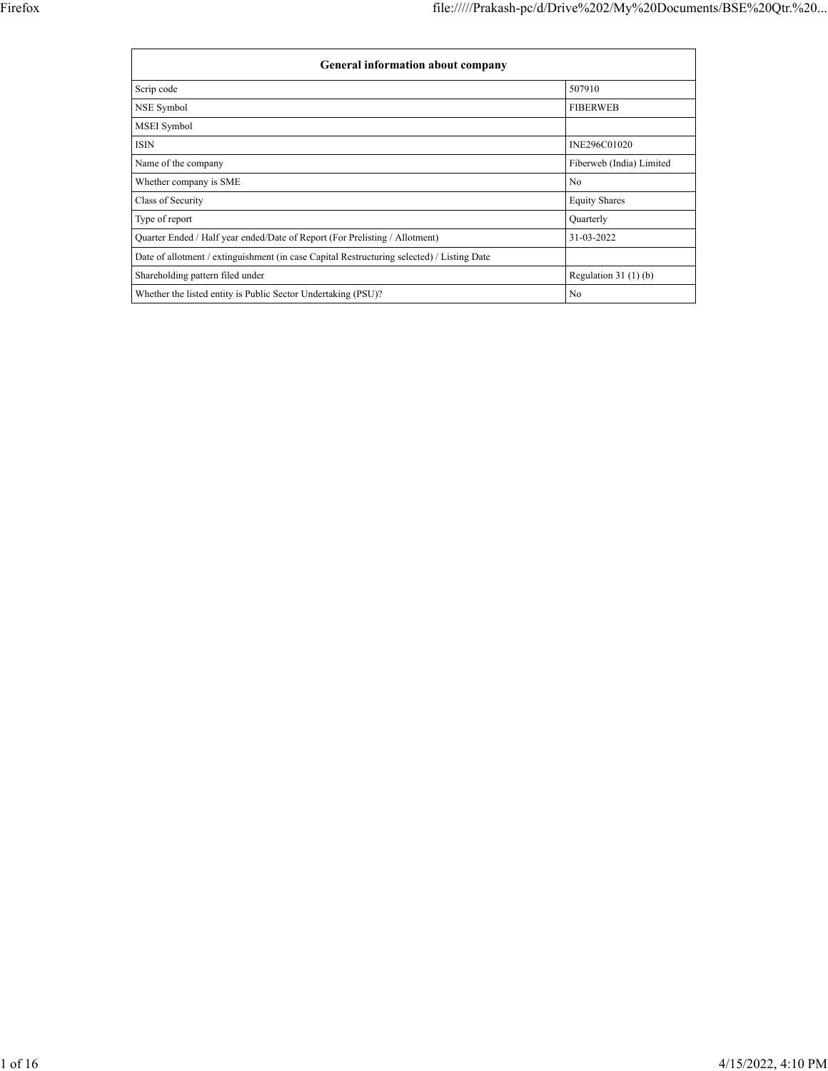| <b>General information about company</b>                                                   |                          |  |  |  |  |  |  |
|--------------------------------------------------------------------------------------------|--------------------------|--|--|--|--|--|--|
| Scrip code                                                                                 | 507910                   |  |  |  |  |  |  |
| NSE Symbol                                                                                 | <b>FIBERWEB</b>          |  |  |  |  |  |  |
| MSEI Symbol                                                                                |                          |  |  |  |  |  |  |
| <b>ISIN</b>                                                                                | INE296C01020             |  |  |  |  |  |  |
| Name of the company                                                                        | Fiberweb (India) Limited |  |  |  |  |  |  |
| Whether company is SME                                                                     | No                       |  |  |  |  |  |  |
| Class of Security                                                                          | <b>Equity Shares</b>     |  |  |  |  |  |  |
| Type of report                                                                             | Quarterly                |  |  |  |  |  |  |
| Quarter Ended / Half year ended/Date of Report (For Prelisting / Allotment)                | 31-03-2022               |  |  |  |  |  |  |
| Date of allotment / extinguishment (in case Capital Restructuring selected) / Listing Date |                          |  |  |  |  |  |  |
| Shareholding pattern filed under                                                           | Regulation $31(1)(b)$    |  |  |  |  |  |  |
| Whether the listed entity is Public Sector Undertaking (PSU)?                              | N <sub>0</sub>           |  |  |  |  |  |  |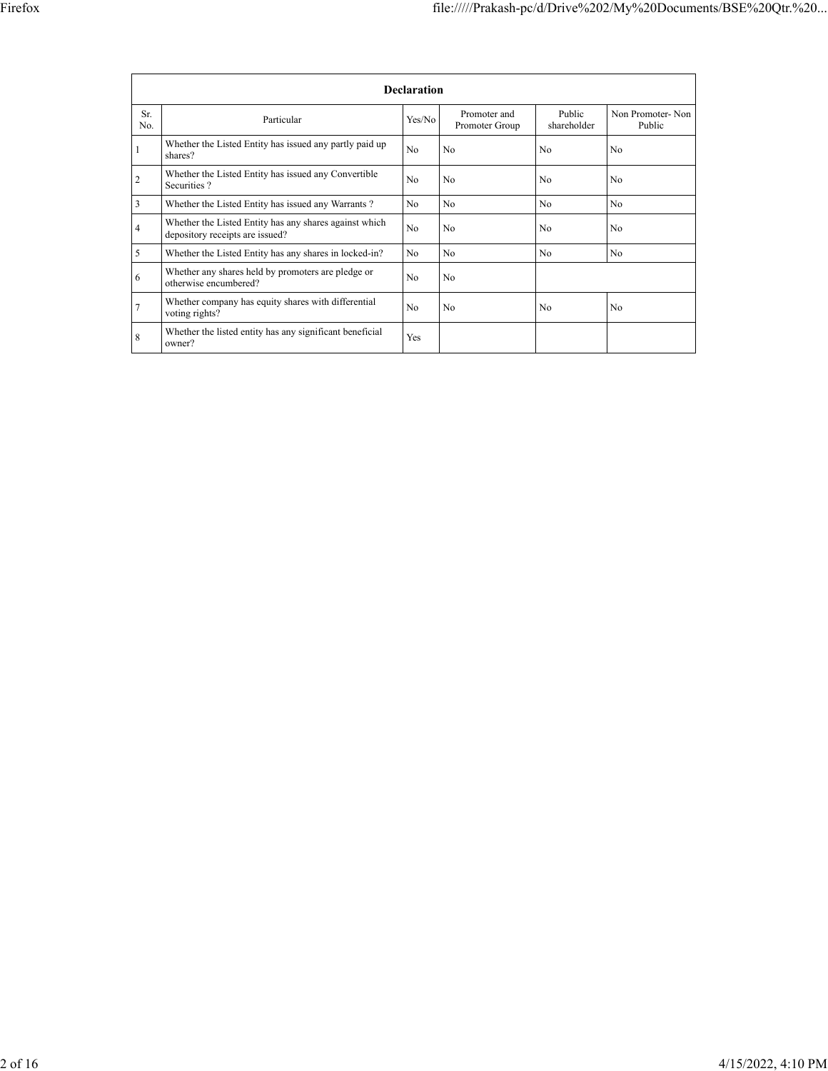|                | <b>Declaration</b>                                                                        |                |                                |                       |                            |  |  |  |  |
|----------------|-------------------------------------------------------------------------------------------|----------------|--------------------------------|-----------------------|----------------------------|--|--|--|--|
| Sr.<br>No.     | Particular                                                                                | Yes/No         | Promoter and<br>Promoter Group | Public<br>shareholder | Non Promoter-Non<br>Public |  |  |  |  |
| 1              | Whether the Listed Entity has issued any partly paid up<br>shares?                        | N <sub>0</sub> | No                             | No                    | N <sub>0</sub>             |  |  |  |  |
| $\overline{c}$ | Whether the Listed Entity has issued any Convertible<br>Securities?                       | N <sub>0</sub> | N <sub>0</sub>                 | N <sub>0</sub>        | N <sub>0</sub>             |  |  |  |  |
| 3              | Whether the Listed Entity has issued any Warrants?                                        | No             | No                             | No                    | No                         |  |  |  |  |
| 4              | Whether the Listed Entity has any shares against which<br>depository receipts are issued? | N <sub>o</sub> | N <sub>0</sub>                 | N <sub>0</sub>        | N <sub>0</sub>             |  |  |  |  |
| 5              | Whether the Listed Entity has any shares in locked-in?                                    | No.            | N <sub>0</sub>                 | N <sub>0</sub>        | No                         |  |  |  |  |
| 6              | Whether any shares held by promoters are pledge or<br>otherwise encumbered?               | No             | No                             |                       |                            |  |  |  |  |
| $\overline{7}$ | Whether company has equity shares with differential<br>voting rights?                     | No             | No                             | No                    | No                         |  |  |  |  |
| 8              | Whether the listed entity has any significant beneficial<br>owner?                        | <b>Yes</b>     |                                |                       |                            |  |  |  |  |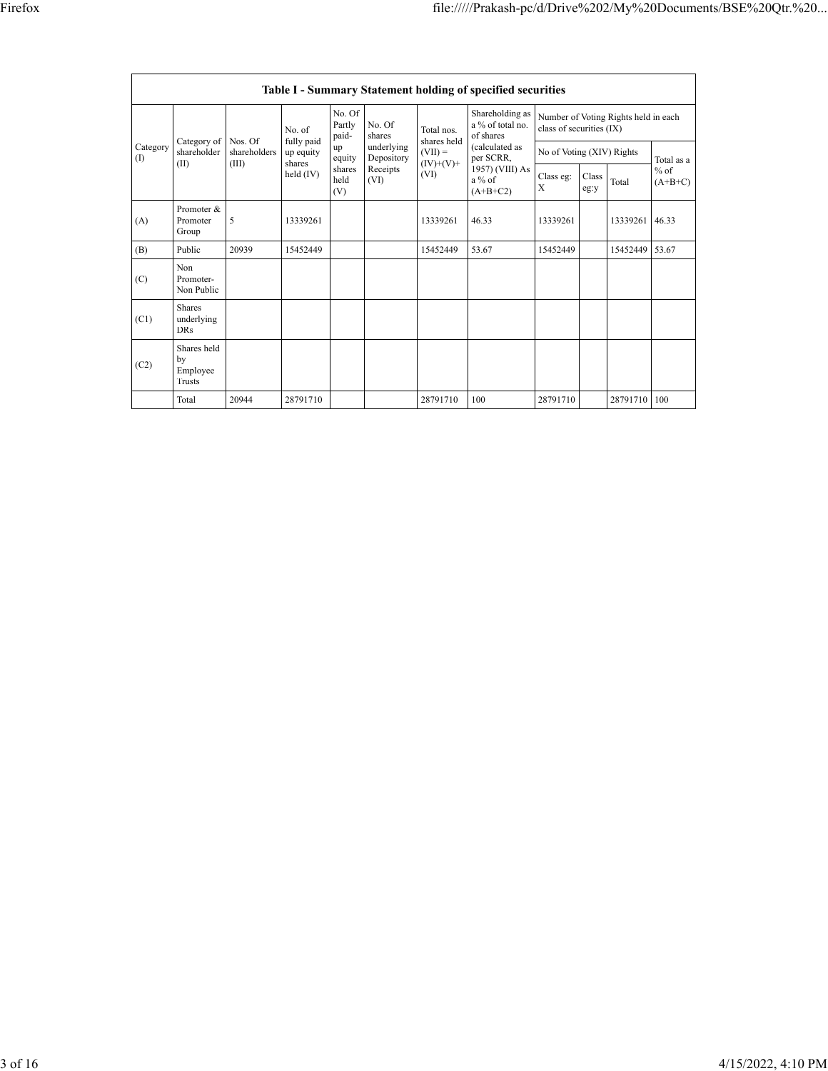| Table I - Summary Statement holding of specified securities |                                                |                        |                                   |                           |                          |                                  |                                                                                                                              |                                                                  |               |          |                     |
|-------------------------------------------------------------|------------------------------------------------|------------------------|-----------------------------------|---------------------------|--------------------------|----------------------------------|------------------------------------------------------------------------------------------------------------------------------|------------------------------------------------------------------|---------------|----------|---------------------|
| Category<br>(1)                                             |                                                | Category of<br>Nos. Of | No. of                            | No. Of<br>Partly<br>paid- | No. Of<br>shares         | Total nos.<br>shares held        | Shareholding as<br>a % of total no.<br>of shares<br>(calculated as<br>per SCRR,<br>1957) (VIII) As<br>$a\%$ of<br>$(A+B+C2)$ | Number of Voting Rights held in each<br>class of securities (IX) |               |          |                     |
|                                                             | shareholder<br>(II)                            | shareholders<br>(III)  | fully paid<br>up equity<br>shares | up<br>equity              | underlying<br>Depository | $(VII) =$<br>$(IV)+(V)+$<br>(VI) |                                                                                                                              | No of Voting (XIV) Rights                                        |               |          | Total as a          |
|                                                             |                                                |                        | $held$ (IV)                       | shares<br>held<br>(V)     | Receipts<br>(VI)         |                                  |                                                                                                                              | Class eg:<br>X                                                   | Class<br>eg:y | Total    | $%$ of<br>$(A+B+C)$ |
| (A)                                                         | Promoter &<br>Promoter<br>Group                | 5                      | 13339261                          |                           |                          | 13339261                         | 46.33                                                                                                                        | 13339261                                                         |               | 13339261 | 46.33               |
| (B)                                                         | Public                                         | 20939                  | 15452449                          |                           |                          | 15452449                         | 53.67                                                                                                                        | 15452449                                                         |               | 15452449 | 53.67               |
| (C)                                                         | Non<br>Promoter-<br>Non Public                 |                        |                                   |                           |                          |                                  |                                                                                                                              |                                                                  |               |          |                     |
| (C1)                                                        | <b>Shares</b><br>underlying<br><b>DRs</b>      |                        |                                   |                           |                          |                                  |                                                                                                                              |                                                                  |               |          |                     |
| (C2)                                                        | Shares held<br>by<br>Employee<br><b>Trusts</b> |                        |                                   |                           |                          |                                  |                                                                                                                              |                                                                  |               |          |                     |
|                                                             | Total                                          | 20944                  | 28791710                          |                           |                          | 28791710                         | 100                                                                                                                          | 28791710                                                         |               | 28791710 | 100                 |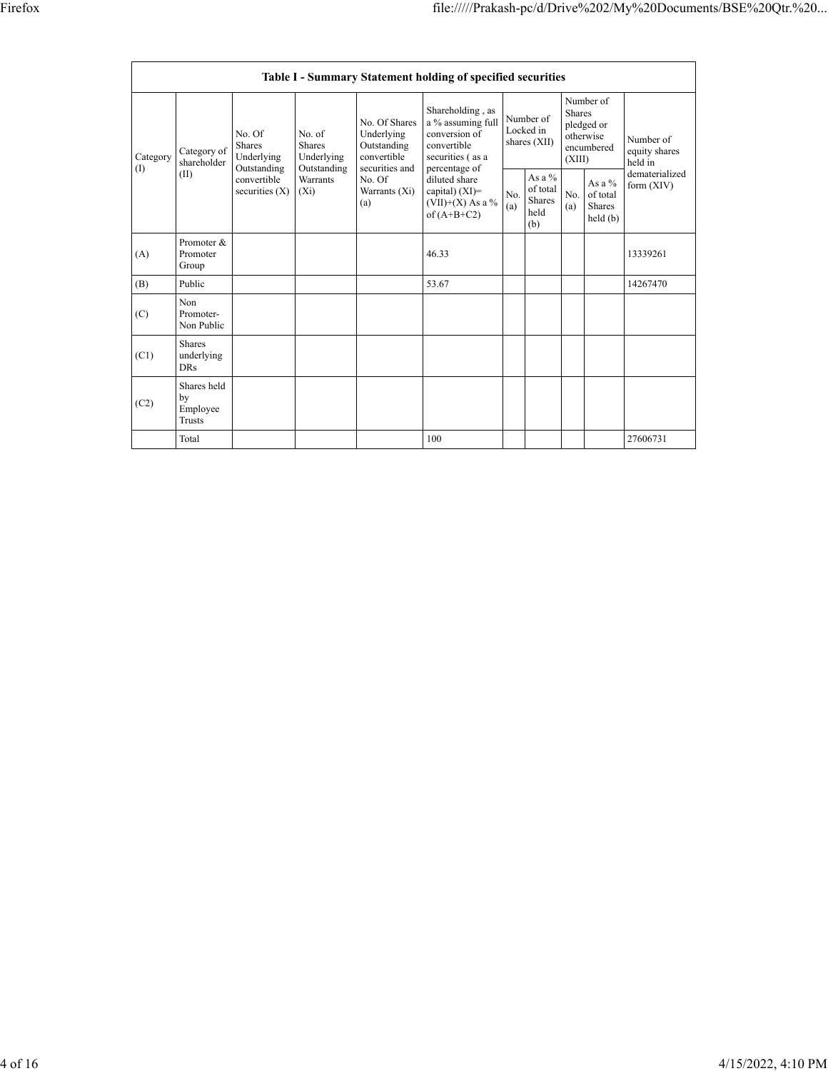|                 |                                                |                                                      |                                               |                                                                             | <b>Table I - Summary Statement holding of specified securities</b>                                         |            |                                                |                         |                                                    |                                       |
|-----------------|------------------------------------------------|------------------------------------------------------|-----------------------------------------------|-----------------------------------------------------------------------------|------------------------------------------------------------------------------------------------------------|------------|------------------------------------------------|-------------------------|----------------------------------------------------|---------------------------------------|
| Category<br>(1) | Category of<br>shareholder<br>(II)             | No. Of<br><b>Shares</b><br>Underlying<br>Outstanding | No. of<br>Shares<br>Underlying<br>Outstanding | No. Of Shares<br>Underlying<br>Outstanding<br>convertible<br>securities and | Shareholding, as<br>a % assuming full<br>conversion of<br>convertible<br>securities (as a<br>percentage of |            | Number of<br>Locked in<br>shares (XII)         | <b>Shares</b><br>(XIII) | Number of<br>pledged or<br>otherwise<br>encumbered | Number of<br>equity shares<br>held in |
|                 |                                                | convertible<br>securities $(X)$                      | Warrants<br>$(X_i)$                           | No. Of<br>Warrants (Xi)<br>(a)                                              | diluted share<br>capital) $(XI)=$<br>(VII)+(X) As a $\%$<br>of $(A+B+C2)$                                  | No.<br>(a) | As a $\%$<br>of total<br>Shares<br>held<br>(b) | No.<br>(a)              | As a $%$<br>of total<br><b>Shares</b><br>held(b)   | dematerialized<br>form (XIV)          |
| (A)             | Promoter &<br>Promoter<br>Group                |                                                      |                                               |                                                                             | 46.33                                                                                                      |            |                                                |                         |                                                    | 13339261                              |
| (B)             | Public                                         |                                                      |                                               |                                                                             | 53.67                                                                                                      |            |                                                |                         |                                                    | 14267470                              |
| (C)             | Non<br>Promoter-<br>Non Public                 |                                                      |                                               |                                                                             |                                                                                                            |            |                                                |                         |                                                    |                                       |
| (C1)            | <b>Shares</b><br>underlying<br><b>DRs</b>      |                                                      |                                               |                                                                             |                                                                                                            |            |                                                |                         |                                                    |                                       |
| (C2)            | Shares held<br>by<br>Employee<br><b>Trusts</b> |                                                      |                                               |                                                                             |                                                                                                            |            |                                                |                         |                                                    |                                       |
|                 | Total                                          |                                                      |                                               |                                                                             | 100                                                                                                        |            |                                                |                         |                                                    | 27606731                              |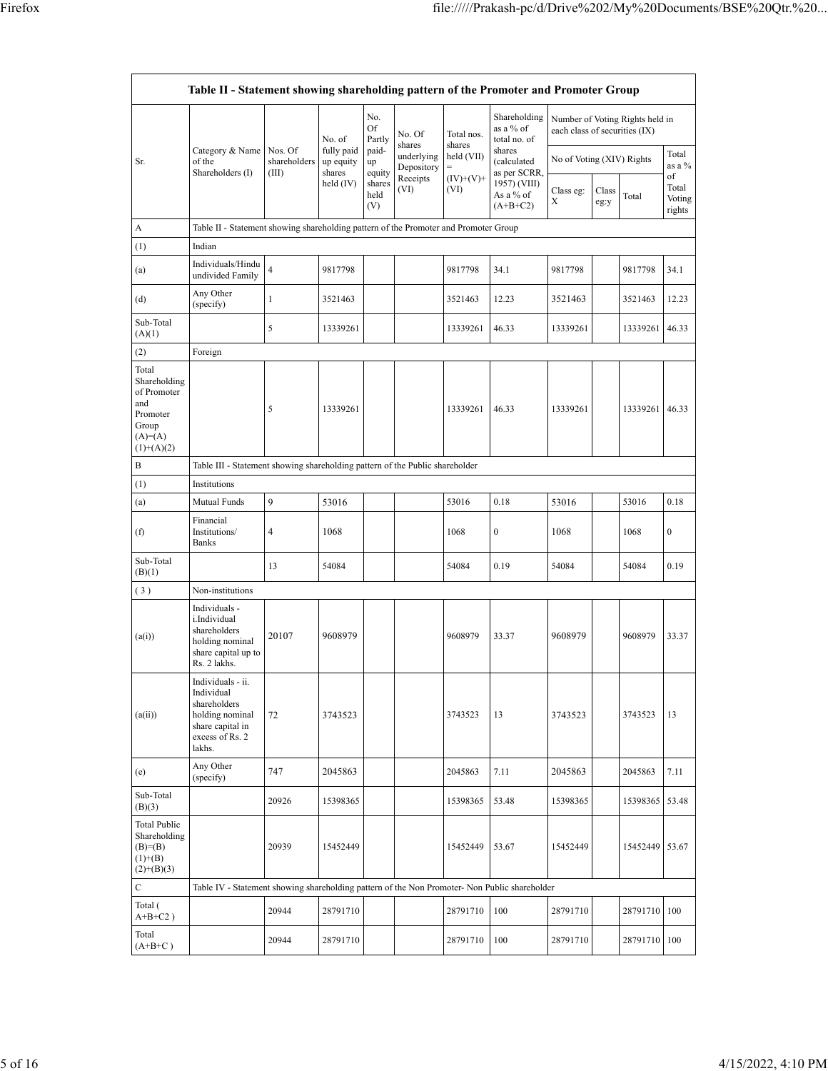| Table II - Statement showing shareholding pattern of the Promoter and Promoter Group          |                                                                                                                     |                                                                              |                                                |                       |                          |                      |                                           |                               |               |                                 |                                 |
|-----------------------------------------------------------------------------------------------|---------------------------------------------------------------------------------------------------------------------|------------------------------------------------------------------------------|------------------------------------------------|-----------------------|--------------------------|----------------------|-------------------------------------------|-------------------------------|---------------|---------------------------------|---------------------------------|
|                                                                                               |                                                                                                                     |                                                                              | No. of                                         | No.<br>Of<br>Partly   | No. Of<br>shares         | Total nos.<br>shares | Shareholding<br>as a % of<br>total no. of | each class of securities (IX) |               | Number of Voting Rights held in |                                 |
| Sr.                                                                                           | Category & Name<br>of the<br>Shareholders (I)                                                                       | Nos. Of<br>shareholders<br>(III)                                             | fully paid<br>up equity<br>shares<br>held (IV) | paid-<br>up<br>equity | underlying<br>Depository | held (VII)           | shares<br>(calculated<br>as per SCRR,     | No of Voting (XIV) Rights     |               |                                 | Total<br>as a %                 |
|                                                                                               |                                                                                                                     |                                                                              |                                                | shares<br>held<br>(V) | Receipts<br>(VI)         | $(IV)+(V)+$<br>(VI)  | 1957) (VIII)<br>As a % of<br>$(A+B+C2)$   | Class eg:<br>Χ                | Class<br>eg:y | Total                           | of<br>Total<br>Voting<br>rights |
| A                                                                                             | Table II - Statement showing shareholding pattern of the Promoter and Promoter Group                                |                                                                              |                                                |                       |                          |                      |                                           |                               |               |                                 |                                 |
| (1)                                                                                           | Indian                                                                                                              |                                                                              |                                                |                       |                          |                      |                                           |                               |               |                                 |                                 |
| (a)                                                                                           | Individuals/Hindu<br>undivided Family                                                                               | $\overline{4}$                                                               | 9817798                                        |                       |                          | 9817798              | 34.1                                      | 9817798                       |               | 9817798                         | 34.1                            |
| (d)                                                                                           | Any Other<br>(specify)                                                                                              | 1                                                                            | 3521463                                        |                       |                          | 3521463              | 12.23                                     | 3521463                       |               | 3521463                         | 12.23                           |
| Sub-Total<br>(A)(1)                                                                           |                                                                                                                     | 5                                                                            | 13339261                                       |                       |                          | 13339261             | 46.33                                     | 13339261                      |               | 13339261                        | 46.33                           |
| (2)                                                                                           | Foreign                                                                                                             |                                                                              |                                                |                       |                          |                      |                                           |                               |               |                                 |                                 |
| Total<br>Shareholding<br>of Promoter<br>and<br>Promoter<br>Group<br>$(A)=(A)$<br>$(1)+(A)(2)$ |                                                                                                                     | 5                                                                            | 13339261                                       |                       |                          | 13339261             | 46.33                                     | 13339261                      |               | 13339261                        | 46.33                           |
| B                                                                                             |                                                                                                                     | Table III - Statement showing shareholding pattern of the Public shareholder |                                                |                       |                          |                      |                                           |                               |               |                                 |                                 |
| (1)                                                                                           | Institutions                                                                                                        |                                                                              |                                                |                       |                          |                      |                                           |                               |               |                                 |                                 |
| (a)                                                                                           | Mutual Funds                                                                                                        | 9                                                                            | 53016                                          |                       |                          | 53016                | 0.18                                      | 53016                         |               | 53016                           | 0.18                            |
| (f)                                                                                           | Financial<br>Institutions/<br><b>Banks</b>                                                                          | 4                                                                            | 1068                                           |                       |                          | 1068                 | $\boldsymbol{0}$                          | 1068                          |               | 1068                            | $\boldsymbol{0}$                |
| Sub-Total<br>(B)(1)                                                                           |                                                                                                                     | 13                                                                           | 54084                                          |                       |                          | 54084                | 0.19                                      | 54084                         |               | 54084                           | 0.19                            |
| (3)                                                                                           | Non-institutions                                                                                                    |                                                                              |                                                |                       |                          |                      |                                           |                               |               |                                 |                                 |
| (a(i))                                                                                        | Individuals -<br>i.Individual<br>shareholders<br>holding nominal<br>share capital up to<br>Rs. 2 lakhs.             | 20107                                                                        | 9608979                                        |                       |                          | 9608979              | 33.37                                     | 9608979                       |               | 9608979                         | 33.37                           |
| (a(ii))                                                                                       | Individuals - ii.<br>Individual<br>shareholders<br>holding nominal<br>share capital in<br>excess of Rs. 2<br>lakhs. | 72                                                                           | 3743523                                        |                       |                          | 3743523              | 13                                        | 3743523                       |               | 3743523                         | 13                              |
| (e)                                                                                           | Any Other<br>(specify)                                                                                              | 747                                                                          | 2045863                                        |                       |                          | 2045863              | 7.11                                      | 2045863                       |               | 2045863                         | 7.11                            |
| Sub-Total<br>(B)(3)                                                                           |                                                                                                                     | 20926                                                                        | 15398365                                       |                       |                          | 15398365             | 53.48                                     | 15398365                      |               | 15398365                        | 53.48                           |
| <b>Total Public</b><br>Shareholding<br>$(B)= (B)$<br>$(1)+(B)$<br>$(2)+(B)(3)$                |                                                                                                                     | 20939                                                                        | 15452449                                       |                       |                          | 15452449             | 53.67                                     | 15452449                      |               | 15452449                        | 53.67                           |
| С                                                                                             | Table IV - Statement showing shareholding pattern of the Non Promoter- Non Public shareholder                       |                                                                              |                                                |                       |                          |                      |                                           |                               |               |                                 |                                 |
| Total (<br>$A+B+C2$ )                                                                         |                                                                                                                     | 20944                                                                        | 28791710                                       |                       |                          | 28791710             | 100                                       | 28791710                      |               | 28791710                        | 100                             |
| Total<br>$(A+B+C)$                                                                            |                                                                                                                     | 20944                                                                        | 28791710                                       |                       |                          | 28791710             | 100                                       | 28791710                      |               | 28791710                        | 100                             |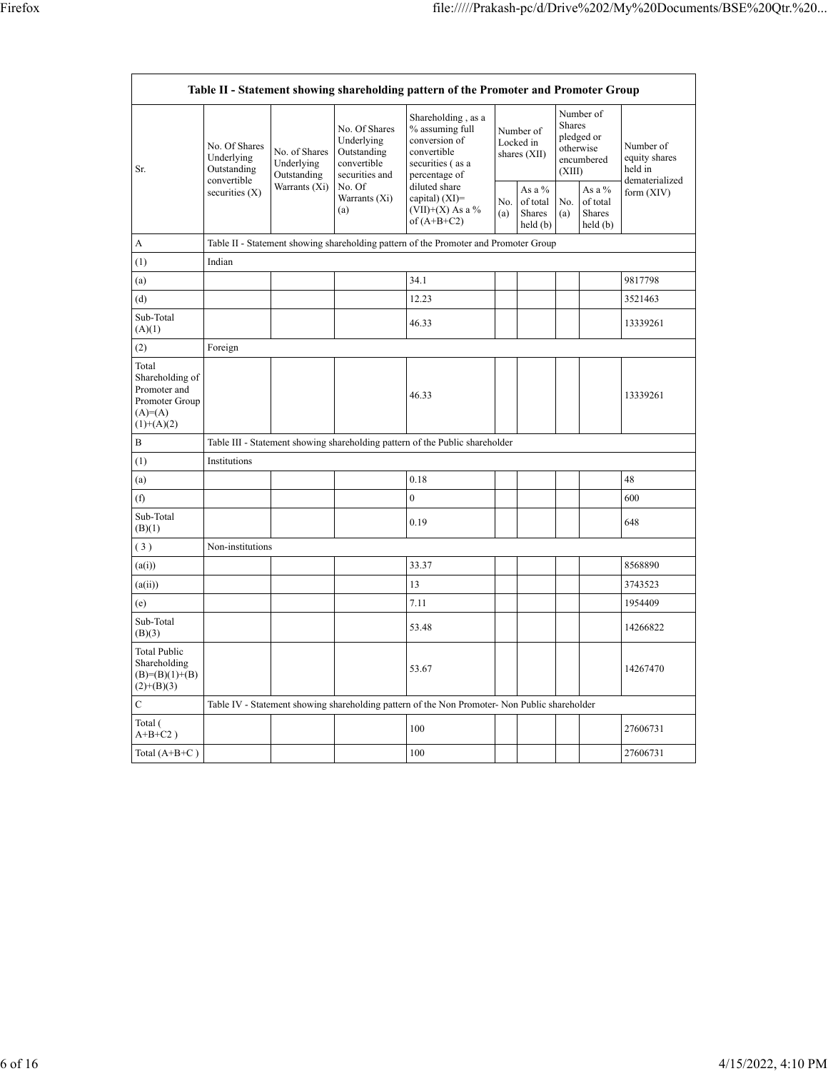| Table II - Statement showing shareholding pattern of the Promoter and Promoter Group   |                                                                               |                                            |                                                                                                                                                                                                                                                                                                          |                                                                                               |                                           |            |                                                                               |              |                                                         |
|----------------------------------------------------------------------------------------|-------------------------------------------------------------------------------|--------------------------------------------|----------------------------------------------------------------------------------------------------------------------------------------------------------------------------------------------------------------------------------------------------------------------------------------------------------|-----------------------------------------------------------------------------------------------|-------------------------------------------|------------|-------------------------------------------------------------------------------|--------------|---------------------------------------------------------|
| Sr.                                                                                    | No. Of Shares<br>Underlying<br>Outstanding<br>convertible<br>securities $(X)$ | No. of Shares<br>Underlying<br>Outstanding | Shareholding, as a<br>No. Of Shares<br>% assuming full<br>Underlying<br>conversion of<br>Outstanding<br>convertible<br>convertible<br>securities (as a<br>securities and<br>percentage of<br>No. Of<br>diluted share<br>capital) $(XI)$ =<br>Warrants (Xi)<br>$(VII)+(X)$ As a %<br>(a)<br>of $(A+B+C2)$ |                                                                                               | Number of<br>Locked in<br>shares $(XII)$  |            | Number of<br><b>Shares</b><br>pledged or<br>otherwise<br>encumbered<br>(XIII) |              | Number of<br>equity shares<br>held in<br>dematerialized |
|                                                                                        |                                                                               | Warrants $(X_i)$                           |                                                                                                                                                                                                                                                                                                          | No.<br>(a)                                                                                    | As a $%$<br>of total<br>Shares<br>held(b) | No.<br>(a) | As a $%$<br>of total<br><b>Shares</b><br>held(b)                              | form $(XIV)$ |                                                         |
| A                                                                                      |                                                                               |                                            |                                                                                                                                                                                                                                                                                                          | Table II - Statement showing shareholding pattern of the Promoter and Promoter Group          |                                           |            |                                                                               |              |                                                         |
| (1)                                                                                    | Indian                                                                        |                                            |                                                                                                                                                                                                                                                                                                          |                                                                                               |                                           |            |                                                                               |              |                                                         |
| (a)                                                                                    |                                                                               |                                            |                                                                                                                                                                                                                                                                                                          | 34.1                                                                                          |                                           |            |                                                                               |              | 9817798                                                 |
| (d)                                                                                    |                                                                               |                                            |                                                                                                                                                                                                                                                                                                          | 12.23                                                                                         |                                           |            |                                                                               |              | 3521463                                                 |
| Sub-Total<br>(A)(1)                                                                    |                                                                               |                                            |                                                                                                                                                                                                                                                                                                          | 46.33                                                                                         |                                           |            |                                                                               |              | 13339261                                                |
| (2)                                                                                    | Foreign                                                                       |                                            |                                                                                                                                                                                                                                                                                                          |                                                                                               |                                           |            |                                                                               |              |                                                         |
| Total<br>Shareholding of<br>Promoter and<br>Promoter Group<br>$(A)=A)$<br>$(1)+(A)(2)$ |                                                                               |                                            |                                                                                                                                                                                                                                                                                                          | 46.33                                                                                         |                                           |            |                                                                               |              | 13339261                                                |
| B                                                                                      |                                                                               |                                            |                                                                                                                                                                                                                                                                                                          | Table III - Statement showing shareholding pattern of the Public shareholder                  |                                           |            |                                                                               |              |                                                         |
| (1)                                                                                    | Institutions                                                                  |                                            |                                                                                                                                                                                                                                                                                                          |                                                                                               |                                           |            |                                                                               |              |                                                         |
| (a)                                                                                    |                                                                               |                                            |                                                                                                                                                                                                                                                                                                          | 0.18                                                                                          |                                           |            |                                                                               |              | 48                                                      |
| (f)                                                                                    |                                                                               |                                            |                                                                                                                                                                                                                                                                                                          | $\mathbf{0}$                                                                                  |                                           |            |                                                                               |              | 600                                                     |
| Sub-Total<br>(B)(1)                                                                    |                                                                               |                                            |                                                                                                                                                                                                                                                                                                          | 0.19                                                                                          |                                           |            |                                                                               |              | 648                                                     |
| (3)                                                                                    | Non-institutions                                                              |                                            |                                                                                                                                                                                                                                                                                                          |                                                                                               |                                           |            |                                                                               |              |                                                         |
| (a(i))                                                                                 |                                                                               |                                            |                                                                                                                                                                                                                                                                                                          | 33.37                                                                                         |                                           |            |                                                                               |              | 8568890                                                 |
| (a(ii))                                                                                |                                                                               |                                            |                                                                                                                                                                                                                                                                                                          | 13                                                                                            |                                           |            |                                                                               |              | 3743523                                                 |
| (e)                                                                                    |                                                                               |                                            |                                                                                                                                                                                                                                                                                                          | 7.11                                                                                          |                                           |            |                                                                               |              | 1954409                                                 |
| Sub-Total<br>(B)(3)                                                                    |                                                                               |                                            |                                                                                                                                                                                                                                                                                                          | 53.48                                                                                         |                                           |            |                                                                               |              | 14266822                                                |
| Total Public<br>Shareholding<br>$(B)=(B)(1)+(B)$<br>$(2)+(B)(3)$                       |                                                                               |                                            |                                                                                                                                                                                                                                                                                                          | 53.67                                                                                         |                                           |            |                                                                               |              | 14267470                                                |
| $\mathbf C$                                                                            |                                                                               |                                            |                                                                                                                                                                                                                                                                                                          | Table IV - Statement showing shareholding pattern of the Non Promoter- Non Public shareholder |                                           |            |                                                                               |              |                                                         |
| Total (<br>$A+B+C2$ )                                                                  |                                                                               |                                            |                                                                                                                                                                                                                                                                                                          | 100                                                                                           |                                           |            |                                                                               |              | 27606731                                                |
| Total $(A+B+C)$                                                                        |                                                                               |                                            |                                                                                                                                                                                                                                                                                                          | 100                                                                                           |                                           |            |                                                                               |              | 27606731                                                |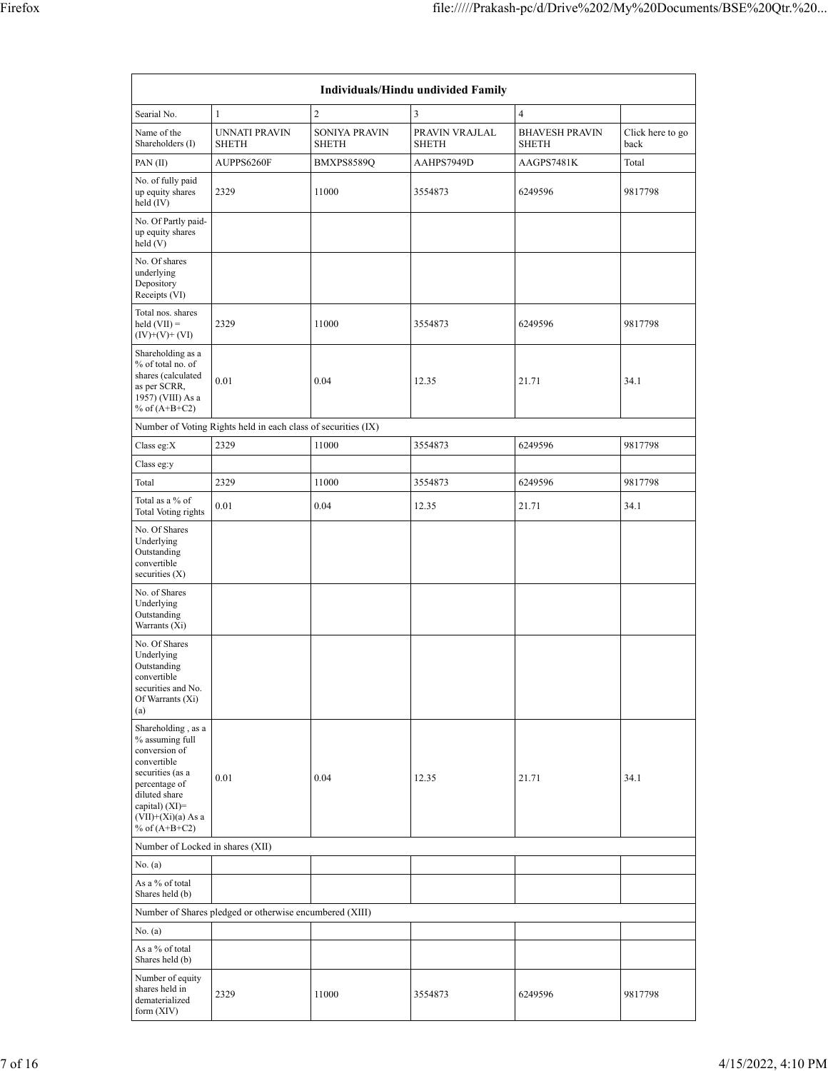| Individuals/Hindu undivided Family                                                                                                                                                       |                                                               |                                      |                                |                                       |                          |  |  |  |  |
|------------------------------------------------------------------------------------------------------------------------------------------------------------------------------------------|---------------------------------------------------------------|--------------------------------------|--------------------------------|---------------------------------------|--------------------------|--|--|--|--|
| Searial No.                                                                                                                                                                              | $\mathbf{1}$                                                  | 2                                    | 3                              | $\overline{4}$                        |                          |  |  |  |  |
| Name of the<br>Shareholders (I)                                                                                                                                                          | <b>UNNATI PRAVIN</b><br><b>SHETH</b>                          | <b>SONIYA PRAVIN</b><br><b>SHETH</b> | PRAVIN VRAJLAL<br><b>SHETH</b> | <b>BHAVESH PRAVIN</b><br><b>SHETH</b> | Click here to go<br>back |  |  |  |  |
| PAN(II)                                                                                                                                                                                  | AUPPS6260F                                                    | BMXPS8589Q                           | AAHPS7949D                     | AAGPS7481K                            | Total                    |  |  |  |  |
| No. of fully paid<br>up equity shares<br>held (IV)                                                                                                                                       | 2329                                                          | 11000                                | 3554873                        | 6249596                               | 9817798                  |  |  |  |  |
| No. Of Partly paid-<br>up equity shares<br>held (V)                                                                                                                                      |                                                               |                                      |                                |                                       |                          |  |  |  |  |
| No. Of shares<br>underlying<br>Depository<br>Receipts (VI)                                                                                                                               |                                                               |                                      |                                |                                       |                          |  |  |  |  |
| Total nos. shares<br>$\text{held (VII)} =$<br>$(IV)+(V)+(VI)$                                                                                                                            | 2329                                                          | 11000                                | 3554873                        | 6249596                               | 9817798                  |  |  |  |  |
| Shareholding as a<br>% of total no. of<br>shares (calculated<br>as per SCRR,<br>1957) (VIII) As a<br>% of $(A+B+C2)$                                                                     | 0.01                                                          | 0.04                                 | 12.35                          | 21.71                                 | 34.1                     |  |  |  |  |
|                                                                                                                                                                                          | Number of Voting Rights held in each class of securities (IX) |                                      |                                |                                       |                          |  |  |  |  |
| Class eg:X                                                                                                                                                                               | 2329                                                          | 11000                                | 3554873                        | 6249596                               | 9817798                  |  |  |  |  |
| Class eg:y                                                                                                                                                                               |                                                               |                                      |                                |                                       |                          |  |  |  |  |
| Total                                                                                                                                                                                    | 2329                                                          | 11000                                | 3554873                        | 6249596                               | 9817798                  |  |  |  |  |
| Total as a % of<br>Total Voting rights                                                                                                                                                   | 0.01                                                          | 0.04                                 | 12.35                          | 21.71                                 | 34.1                     |  |  |  |  |
| No. Of Shares<br>Underlying<br>Outstanding<br>convertible<br>securities $(X)$                                                                                                            |                                                               |                                      |                                |                                       |                          |  |  |  |  |
| No. of Shares<br>Underlying<br>Outstanding<br>Warrants (Xi)                                                                                                                              |                                                               |                                      |                                |                                       |                          |  |  |  |  |
| No. Of Shares<br>Underlying<br>Outstanding<br>convertible<br>securities and No.<br>Of Warrants (Xi)<br>(a)                                                                               |                                                               |                                      |                                |                                       |                          |  |  |  |  |
| Shareholding, as a<br>% assuming full<br>conversion of<br>convertible<br>securities (as a<br>percentage of<br>diluted share<br>capital) (XI)=<br>$(VII)+(Xi)(a)$ As a<br>% of $(A+B+C2)$ | 0.01                                                          | 0.04                                 | 12.35                          | 21.71                                 | 34.1                     |  |  |  |  |
| Number of Locked in shares (XII)                                                                                                                                                         |                                                               |                                      |                                |                                       |                          |  |  |  |  |
| No. (a)<br>As a % of total                                                                                                                                                               |                                                               |                                      |                                |                                       |                          |  |  |  |  |
| Shares held (b)                                                                                                                                                                          |                                                               |                                      |                                |                                       |                          |  |  |  |  |
|                                                                                                                                                                                          | Number of Shares pledged or otherwise encumbered (XIII)       |                                      |                                |                                       |                          |  |  |  |  |
| No. (a)                                                                                                                                                                                  |                                                               |                                      |                                |                                       |                          |  |  |  |  |
| As a % of total<br>Shares held (b)                                                                                                                                                       |                                                               |                                      |                                |                                       |                          |  |  |  |  |
| Number of equity<br>shares held in<br>dematerialized<br>form (XIV)                                                                                                                       | 2329                                                          | 11000                                | 3554873                        | 6249596                               | 9817798                  |  |  |  |  |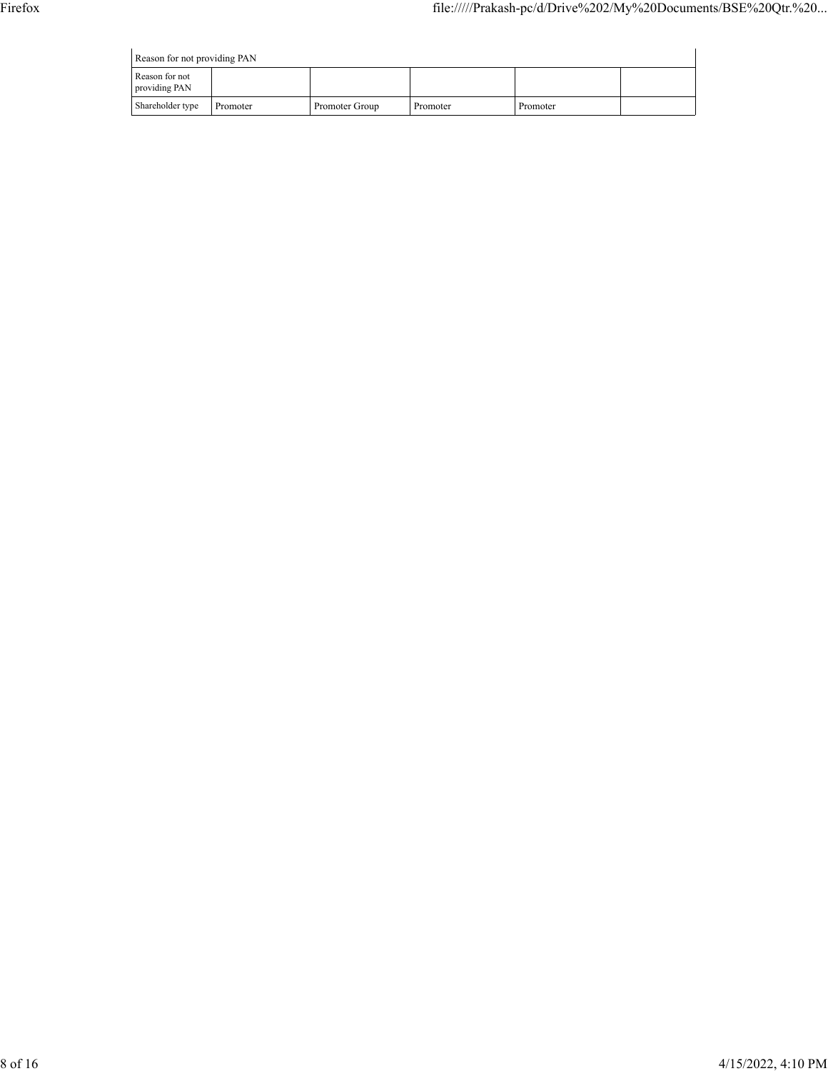Reason for not providing PAN

| Reason for not providing PAN    |          |                |          |          |  |  |  |  |  |
|---------------------------------|----------|----------------|----------|----------|--|--|--|--|--|
| Reason for not<br>providing PAN |          |                |          |          |  |  |  |  |  |
| Shareholder type                | Promoter | Promoter Group | Promoter | Promoter |  |  |  |  |  |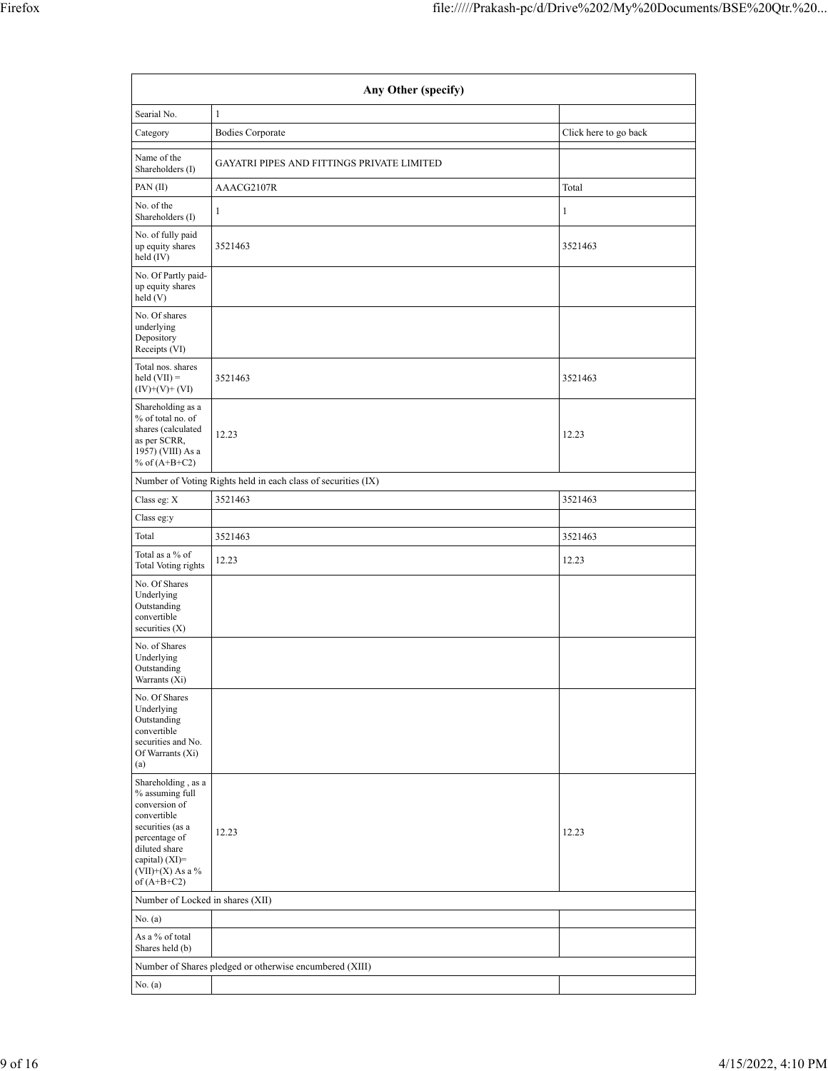|                                                                                                                                                                     | Any Other (specify)                                           |                       |
|---------------------------------------------------------------------------------------------------------------------------------------------------------------------|---------------------------------------------------------------|-----------------------|
| Searial No.                                                                                                                                                         | $\mathbf{1}$                                                  |                       |
| Category                                                                                                                                                            | <b>Bodies Corporate</b>                                       | Click here to go back |
| Name of the<br>Shareholders (I)                                                                                                                                     | GAYATRI PIPES AND FITTINGS PRIVATE LIMITED                    |                       |
| PAN(II)                                                                                                                                                             | AAACG2107R                                                    | Total                 |
| No. of the<br>Shareholders (I)                                                                                                                                      | 1                                                             | 1                     |
| No. of fully paid<br>up equity shares<br>held $(IV)$                                                                                                                | 3521463                                                       | 3521463               |
| No. Of Partly paid-<br>up equity shares<br>held (V)                                                                                                                 |                                                               |                       |
| No. Of shares<br>underlying<br>Depository<br>Receipts (VI)                                                                                                          |                                                               |                       |
| Total nos. shares<br>held $(VII) =$<br>$(IV)+(V)+(VI)$                                                                                                              | 3521463                                                       | 3521463               |
| Shareholding as a<br>% of total no. of<br>shares (calculated<br>as per SCRR,<br>1957) (VIII) As a<br>% of $(A+B+C2)$                                                | 12.23                                                         | 12.23                 |
|                                                                                                                                                                     | Number of Voting Rights held in each class of securities (IX) |                       |
| Class eg: X                                                                                                                                                         | 3521463                                                       | 3521463               |
| Class eg:y                                                                                                                                                          |                                                               |                       |
| Total                                                                                                                                                               | 3521463                                                       | 3521463               |
| Total as a % of<br><b>Total Voting rights</b>                                                                                                                       | 12.23                                                         | 12.23                 |
| No. Of Shares<br>Underlying<br>Outstanding<br>convertible<br>securities $(X)$                                                                                       |                                                               |                       |
| No. of Shares<br>Underlying<br>Outstanding<br>Warrants (Xi)                                                                                                         |                                                               |                       |
| No. Of Shares<br>Underlying<br>Outstanding<br>convertible<br>securities and No.<br>Of Warrants (Xi)<br>(a)                                                          |                                                               |                       |
| Shareholding, as a<br>% assuming full<br>conversion of<br>convertible<br>securities (as a<br>percentage of<br>diluted share<br>capital) (XI)=<br>$(VII)+(X)$ As a % | 12.23                                                         | 12.23                 |
| of $(A+B+C2)$                                                                                                                                                       |                                                               |                       |
| Number of Locked in shares (XII)                                                                                                                                    |                                                               |                       |
| No. (a)                                                                                                                                                             |                                                               |                       |
| As a % of total<br>Shares held (b)                                                                                                                                  |                                                               |                       |
|                                                                                                                                                                     | Number of Shares pledged or otherwise encumbered (XIII)       |                       |
| No. (a)                                                                                                                                                             |                                                               |                       |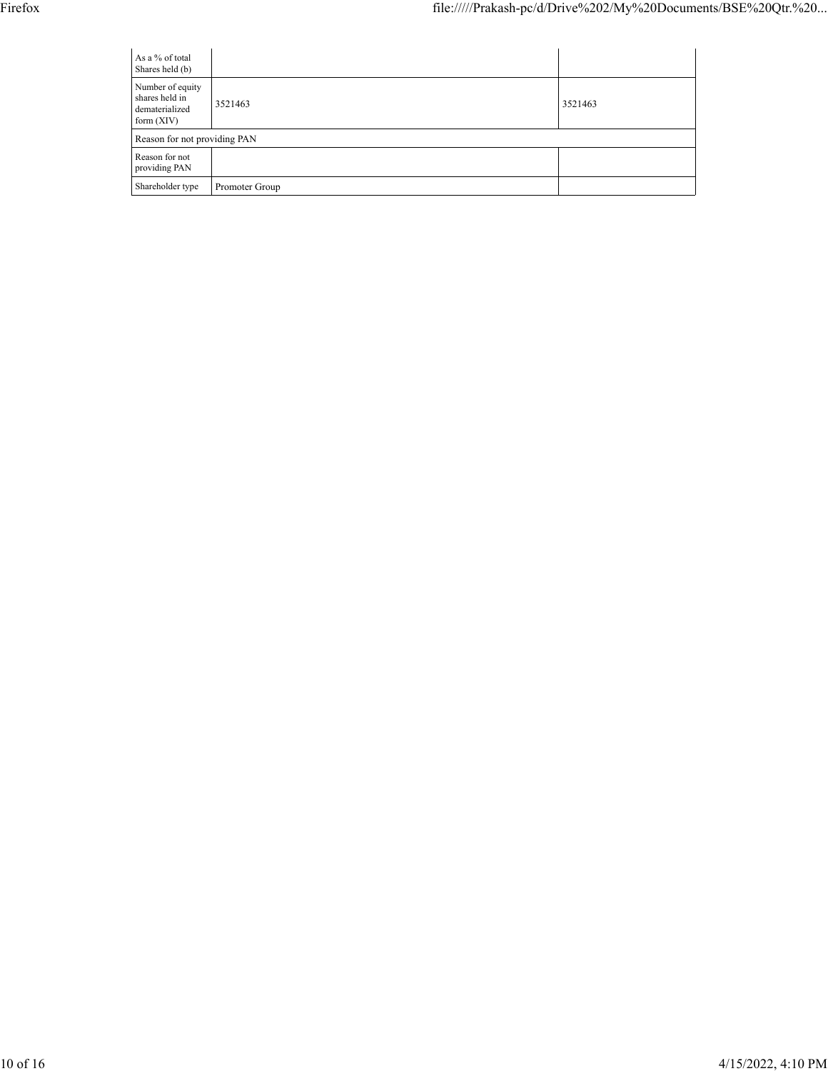| As a % of total<br>Shares held (b)                                   |                |         |
|----------------------------------------------------------------------|----------------|---------|
| Number of equity<br>shares held in<br>dematerialized<br>form $(XIV)$ | 3521463        | 3521463 |
| Reason for not providing PAN                                         |                |         |
| Reason for not<br>providing PAN                                      |                |         |
| Shareholder type                                                     | Promoter Group |         |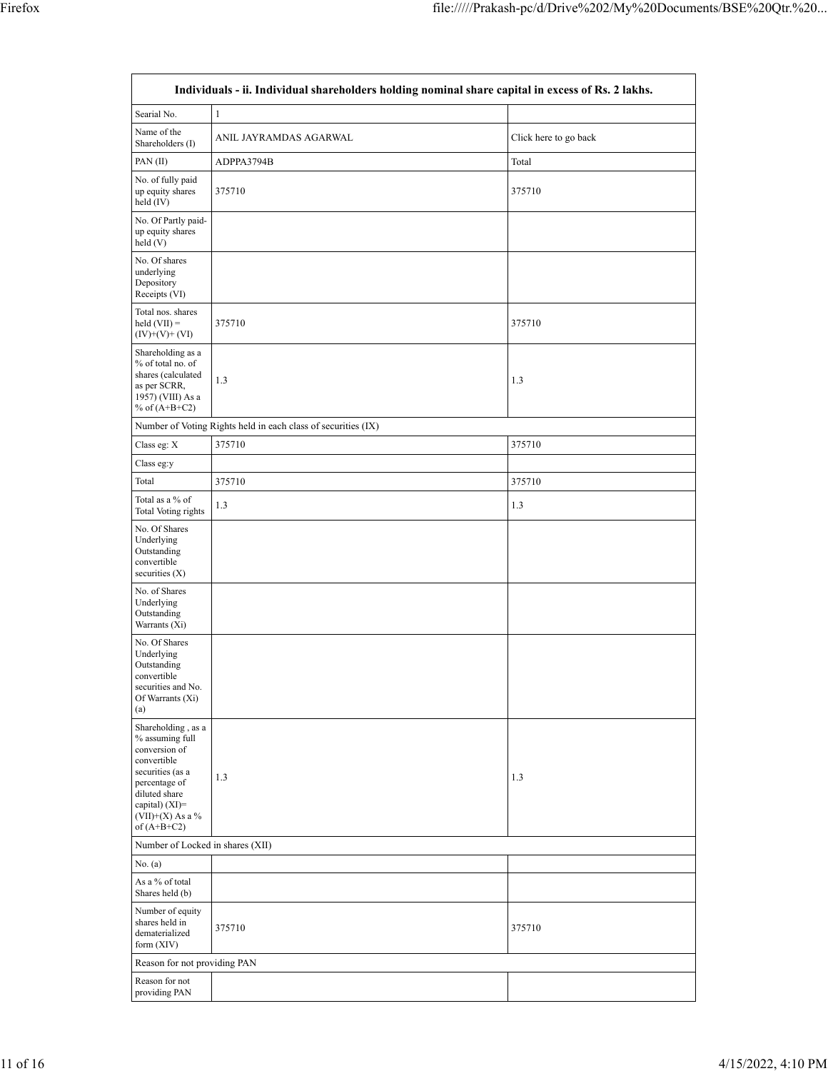| Individuals - ii. Individual shareholders holding nominal share capital in excess of Rs. 2 lakhs.                                                                                       |                                                               |                       |  |  |  |  |  |  |  |
|-----------------------------------------------------------------------------------------------------------------------------------------------------------------------------------------|---------------------------------------------------------------|-----------------------|--|--|--|--|--|--|--|
| Searial No.                                                                                                                                                                             | $\mathbf{1}$                                                  |                       |  |  |  |  |  |  |  |
| Name of the<br>Shareholders (I)                                                                                                                                                         | ANIL JAYRAMDAS AGARWAL                                        | Click here to go back |  |  |  |  |  |  |  |
| PAN(II)                                                                                                                                                                                 | ADPPA3794B                                                    | Total                 |  |  |  |  |  |  |  |
| No. of fully paid<br>up equity shares<br>held (IV)                                                                                                                                      | 375710                                                        | 375710                |  |  |  |  |  |  |  |
| No. Of Partly paid-<br>up equity shares<br>held (V)                                                                                                                                     |                                                               |                       |  |  |  |  |  |  |  |
| No. Of shares<br>underlying<br>Depository<br>Receipts (VI)                                                                                                                              |                                                               |                       |  |  |  |  |  |  |  |
| Total nos. shares<br>$\text{held (VII)} =$<br>$(IV)+(V)+(VI)$                                                                                                                           | 375710                                                        | 375710                |  |  |  |  |  |  |  |
| Shareholding as a<br>% of total no. of<br>shares (calculated<br>as per SCRR,<br>1957) (VIII) As a<br>% of $(A+B+C2)$                                                                    | 1.3                                                           | 1.3                   |  |  |  |  |  |  |  |
|                                                                                                                                                                                         | Number of Voting Rights held in each class of securities (IX) |                       |  |  |  |  |  |  |  |
| Class eg: X                                                                                                                                                                             | 375710                                                        | 375710                |  |  |  |  |  |  |  |
| Class eg:y                                                                                                                                                                              |                                                               |                       |  |  |  |  |  |  |  |
| Total                                                                                                                                                                                   | 375710                                                        | 375710                |  |  |  |  |  |  |  |
| Total as a % of<br>Total Voting rights                                                                                                                                                  | 1.3                                                           | 1.3                   |  |  |  |  |  |  |  |
| No. Of Shares<br>Underlying<br>Outstanding<br>convertible<br>securities $(X)$                                                                                                           |                                                               |                       |  |  |  |  |  |  |  |
| No. of Shares<br>Underlying<br>Outstanding<br>Warrants (Xi)                                                                                                                             |                                                               |                       |  |  |  |  |  |  |  |
| No. Of Shares<br>Underlying<br>Outstanding<br>convertible<br>securities and No.<br>Of Warrants (Xi)<br>(a)                                                                              |                                                               |                       |  |  |  |  |  |  |  |
| Shareholding, as a<br>% assuming full<br>conversion of<br>convertible<br>securities (as a<br>percentage of<br>diluted share<br>capital) $(XI)$ =<br>$(VII)+(X)$ As a %<br>of $(A+B+C2)$ | 1.3                                                           | 1.3                   |  |  |  |  |  |  |  |
| Number of Locked in shares (XII)                                                                                                                                                        |                                                               |                       |  |  |  |  |  |  |  |
| No. (a)                                                                                                                                                                                 |                                                               |                       |  |  |  |  |  |  |  |
| As a % of total<br>Shares held (b)                                                                                                                                                      |                                                               |                       |  |  |  |  |  |  |  |
| Number of equity<br>shares held in<br>dematerialized<br>form (XIV)                                                                                                                      | 375710                                                        | 375710                |  |  |  |  |  |  |  |
| Reason for not providing PAN                                                                                                                                                            |                                                               |                       |  |  |  |  |  |  |  |
| Reason for not<br>providing PAN                                                                                                                                                         |                                                               |                       |  |  |  |  |  |  |  |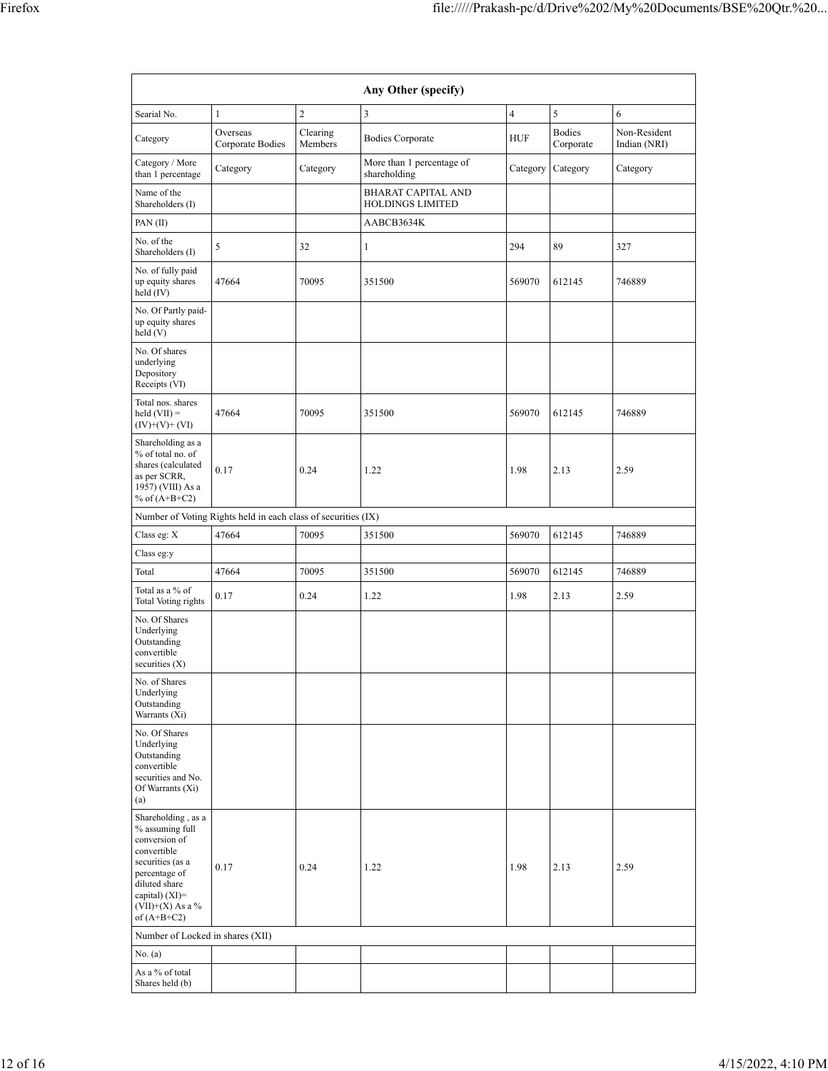|                                                                                                                                                                                         |                                                               |                     | Any Other (specify)                                  |                         |                            |                              |
|-----------------------------------------------------------------------------------------------------------------------------------------------------------------------------------------|---------------------------------------------------------------|---------------------|------------------------------------------------------|-------------------------|----------------------------|------------------------------|
| Searial No.                                                                                                                                                                             | $\mathbf{1}$                                                  | $\overline{c}$      | 3                                                    | $\overline{\mathbf{4}}$ | 5                          | 6                            |
| Category                                                                                                                                                                                | Overseas<br>Corporate Bodies                                  | Clearing<br>Members | <b>Bodies Corporate</b>                              | <b>HUF</b>              | <b>Bodies</b><br>Corporate | Non-Resident<br>Indian (NRI) |
| Category / More<br>than 1 percentage                                                                                                                                                    | Category                                                      | Category            | More than 1 percentage of<br>shareholding            | Category                | Category                   | Category                     |
| Name of the<br>Shareholders (I)                                                                                                                                                         |                                                               |                     | <b>BHARAT CAPITAL AND</b><br><b>HOLDINGS LIMITED</b> |                         |                            |                              |
| PAN(II)                                                                                                                                                                                 |                                                               |                     | AABCB3634K                                           |                         |                            |                              |
| No. of the<br>Shareholders (I)                                                                                                                                                          | 5                                                             | 32                  | $\mathbf{1}$                                         | 294                     | 89                         | 327                          |
| No. of fully paid<br>up equity shares<br>held $(IV)$                                                                                                                                    | 47664                                                         | 70095               | 351500                                               | 569070                  | 612145                     | 746889                       |
| No. Of Partly paid-<br>up equity shares<br>held(V)                                                                                                                                      |                                                               |                     |                                                      |                         |                            |                              |
| No. Of shares<br>underlying<br>Depository<br>Receipts (VI)                                                                                                                              |                                                               |                     |                                                      |                         |                            |                              |
| Total nos. shares<br>$\text{held (VII)} =$<br>$(IV)+(V)+(VI)$                                                                                                                           | 47664                                                         | 70095               | 351500                                               | 569070                  | 612145                     | 746889                       |
| Shareholding as a<br>% of total no. of<br>shares (calculated<br>as per SCRR,<br>1957) (VIII) As a<br>% of $(A+B+C2)$                                                                    | 0.17                                                          | 0.24                | 1.22                                                 | 1.98                    | 2.13                       | 2.59                         |
|                                                                                                                                                                                         | Number of Voting Rights held in each class of securities (IX) |                     |                                                      |                         |                            |                              |
| Class eg: X                                                                                                                                                                             | 47664                                                         | 70095               | 351500                                               | 569070                  | 612145                     | 746889                       |
| Class eg:y                                                                                                                                                                              |                                                               |                     |                                                      |                         |                            |                              |
| Total                                                                                                                                                                                   | 47664                                                         | 70095               | 351500                                               | 569070                  | 612145                     | 746889                       |
| Total as a % of<br>Total Voting rights                                                                                                                                                  | 0.17                                                          | 0.24                | 1.22                                                 | 1.98                    | 2.13                       | 2.59                         |
| No. Of Shares<br>Underlying<br>Outstanding<br>convertible<br>securities $(X)$                                                                                                           |                                                               |                     |                                                      |                         |                            |                              |
| No. of Shares<br>Underlying<br>Outstanding<br>Warrants (Xi)                                                                                                                             |                                                               |                     |                                                      |                         |                            |                              |
| No. Of Shares<br>Underlying<br>Outstanding<br>convertible<br>securities and No.<br>Of Warrants (Xi)<br>(a)                                                                              |                                                               |                     |                                                      |                         |                            |                              |
| Shareholding, as a<br>% assuming full<br>conversion of<br>convertible<br>securities (as a<br>percentage of<br>diluted share<br>capital) $(XI)$ =<br>$(VII)+(X)$ As a %<br>of $(A+B+C2)$ | 0.17                                                          | 0.24                | 1.22                                                 | 1.98                    | 2.13                       | 2.59                         |
| Number of Locked in shares (XII)                                                                                                                                                        |                                                               |                     |                                                      |                         |                            |                              |
| No. (a)                                                                                                                                                                                 |                                                               |                     |                                                      |                         |                            |                              |
| As a % of total<br>Shares held (b)                                                                                                                                                      |                                                               |                     |                                                      |                         |                            |                              |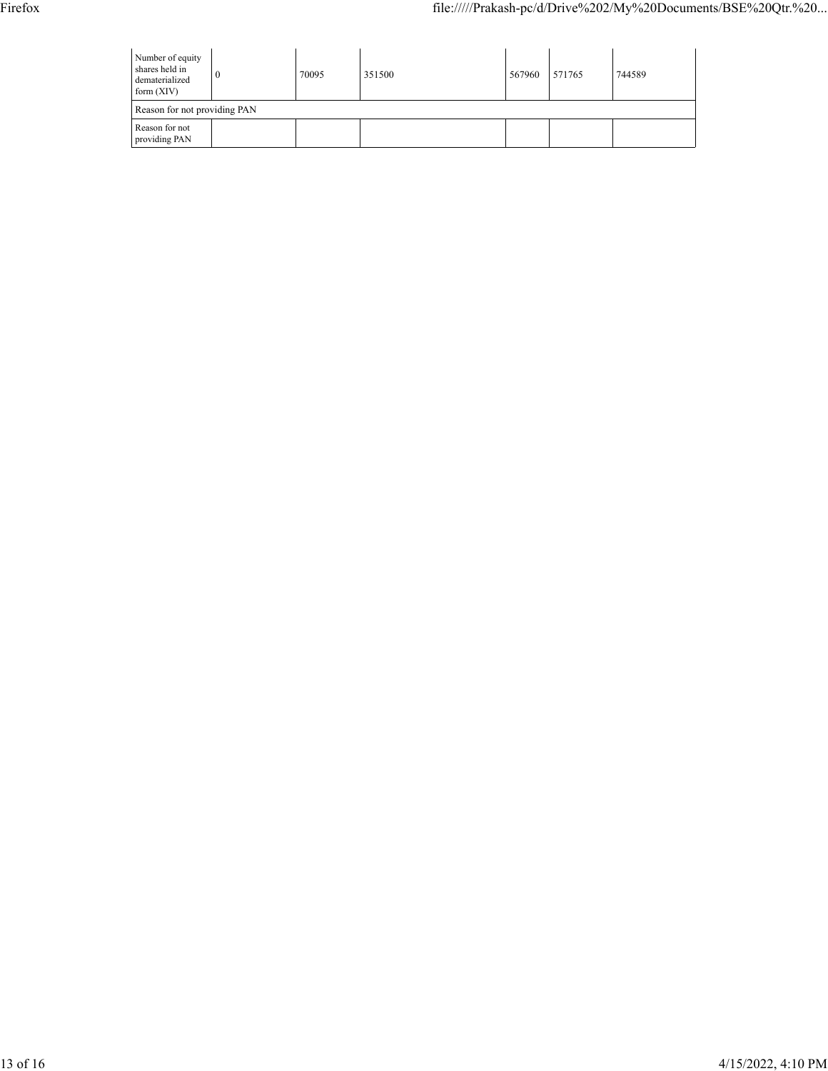| Number of equity<br>shares held in<br>dematerialized<br>form $(XIV)$ | 0 | 70095 | 351500 | 567960 | 571765 | 744589 |
|----------------------------------------------------------------------|---|-------|--------|--------|--------|--------|
| Reason for not providing PAN                                         |   |       |        |        |        |        |
| Reason for not<br>providing PAN                                      |   |       |        |        |        |        |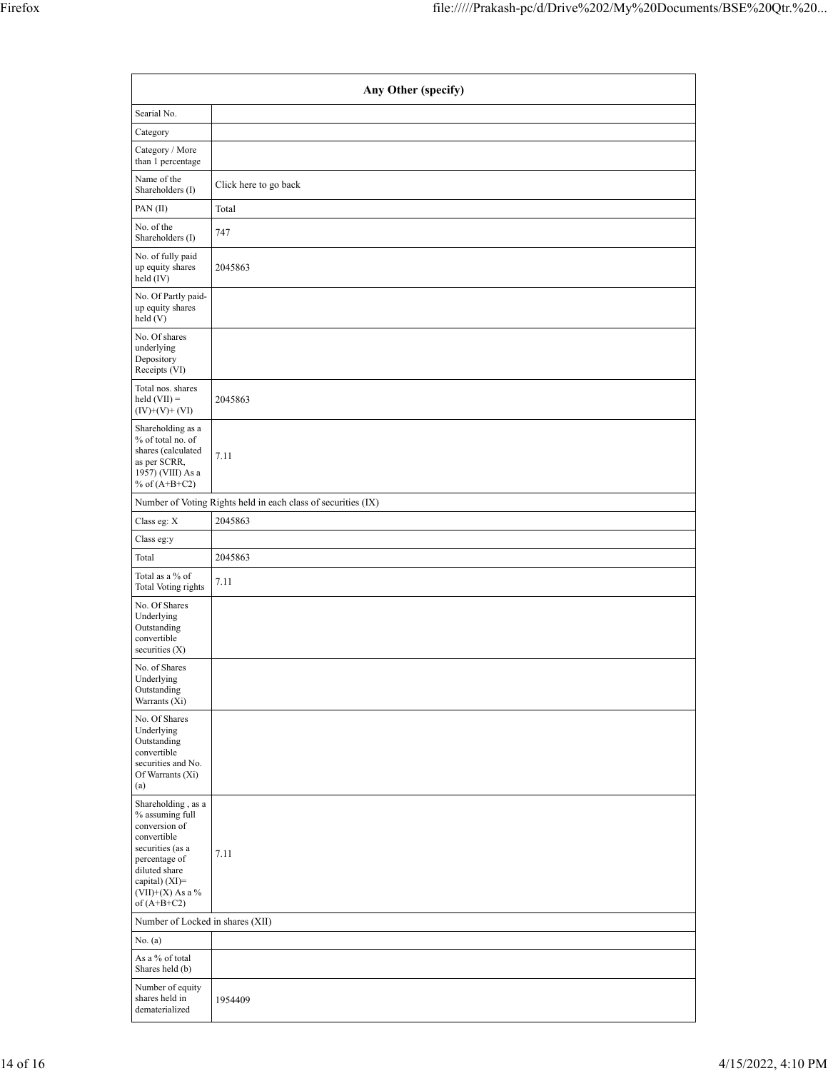| Any Other (specify)                                                                                                                                                                  |                                                               |  |  |  |  |  |  |  |
|--------------------------------------------------------------------------------------------------------------------------------------------------------------------------------------|---------------------------------------------------------------|--|--|--|--|--|--|--|
| Searial No.                                                                                                                                                                          |                                                               |  |  |  |  |  |  |  |
| Category                                                                                                                                                                             |                                                               |  |  |  |  |  |  |  |
| Category / More<br>than 1 percentage                                                                                                                                                 |                                                               |  |  |  |  |  |  |  |
| Name of the<br>Shareholders (I)                                                                                                                                                      | Click here to go back                                         |  |  |  |  |  |  |  |
| PAN(II)                                                                                                                                                                              | Total                                                         |  |  |  |  |  |  |  |
| No. of the<br>Shareholders (I)                                                                                                                                                       | 747                                                           |  |  |  |  |  |  |  |
| No. of fully paid<br>up equity shares<br>held $(IV)$                                                                                                                                 | 2045863                                                       |  |  |  |  |  |  |  |
| No. Of Partly paid-<br>up equity shares<br>held (V)                                                                                                                                  |                                                               |  |  |  |  |  |  |  |
| No. Of shares<br>underlying<br>Depository<br>Receipts (VI)                                                                                                                           |                                                               |  |  |  |  |  |  |  |
| Total nos. shares<br>$\text{held (VII)} =$<br>$(IV)+(V)+(VI)$                                                                                                                        | 2045863                                                       |  |  |  |  |  |  |  |
| Shareholding as a<br>% of total no. of<br>shares (calculated<br>as per SCRR,<br>1957) (VIII) As a<br>% of $(A+B+C2)$                                                                 | 7.11                                                          |  |  |  |  |  |  |  |
|                                                                                                                                                                                      | Number of Voting Rights held in each class of securities (IX) |  |  |  |  |  |  |  |
| Class eg: X                                                                                                                                                                          | 2045863                                                       |  |  |  |  |  |  |  |
| Class eg:y                                                                                                                                                                           |                                                               |  |  |  |  |  |  |  |
| Total                                                                                                                                                                                | 2045863                                                       |  |  |  |  |  |  |  |
| Total as a % of<br>Total Voting rights                                                                                                                                               | 7.11                                                          |  |  |  |  |  |  |  |
| No. Of Shares<br>Underlying<br>Outstanding<br>convertible<br>securities $(X)$                                                                                                        |                                                               |  |  |  |  |  |  |  |
| No. of Shares<br>Underlying<br>Outstanding<br>Warrants (Xi)                                                                                                                          |                                                               |  |  |  |  |  |  |  |
| No. Of Shares<br>Underlying<br>Outstanding<br>convertible<br>securities and No.<br>Of Warrants (Xi)<br>(a)                                                                           |                                                               |  |  |  |  |  |  |  |
| Shareholding, as a<br>% assuming full<br>conversion of<br>convertible<br>securities (as a<br>percentage of<br>diluted share<br>capital) (XI)=<br>$(VII)+(X)$ As a %<br>of $(A+B+C2)$ | 7.11                                                          |  |  |  |  |  |  |  |
| Number of Locked in shares (XII)                                                                                                                                                     |                                                               |  |  |  |  |  |  |  |
| No. (a)                                                                                                                                                                              |                                                               |  |  |  |  |  |  |  |
| As a % of total<br>Shares held (b)                                                                                                                                                   |                                                               |  |  |  |  |  |  |  |
| Number of equity<br>shares held in<br>dematerialized                                                                                                                                 | 1954409                                                       |  |  |  |  |  |  |  |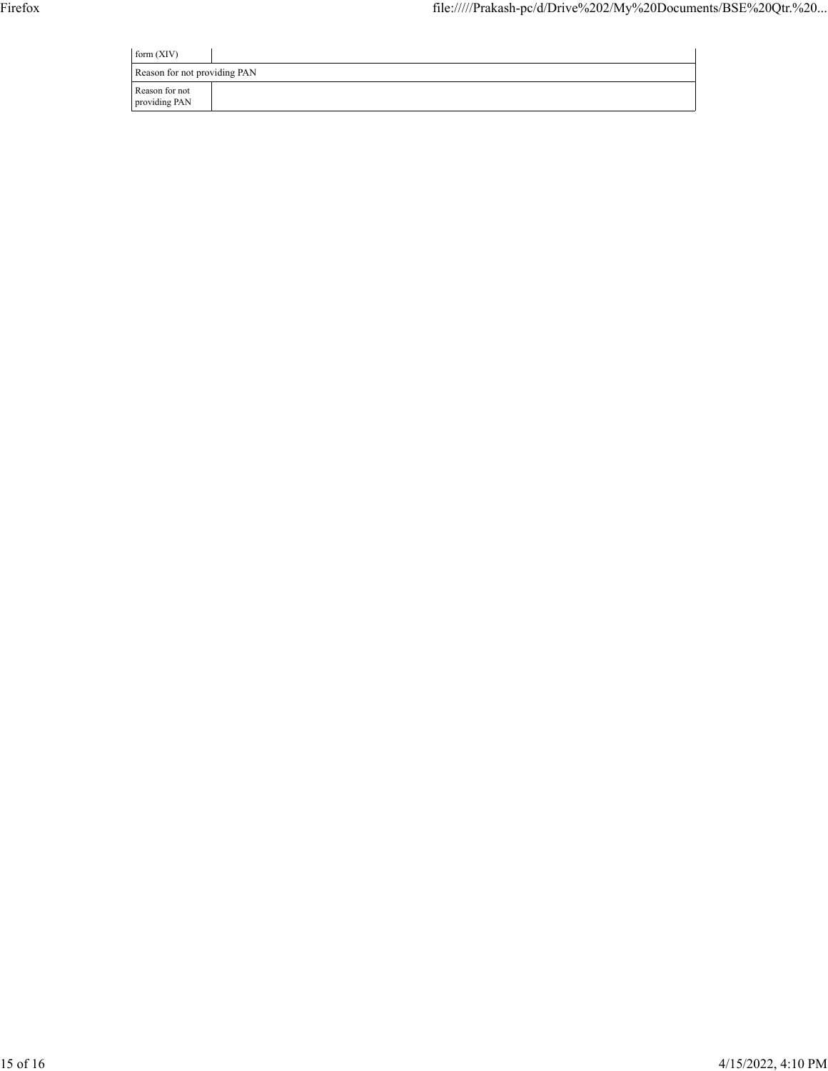| form $(XIV)$                    |  |
|---------------------------------|--|
| Reason for not providing PAN    |  |
| Reason for not<br>providing PAN |  |